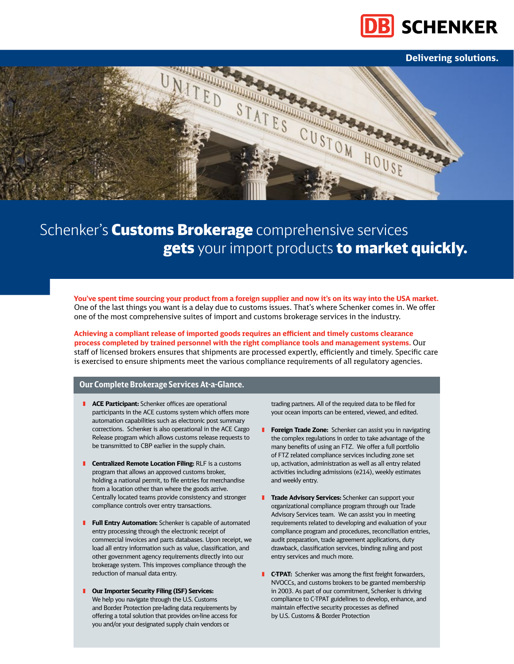

### **Delivering solutions.**



### Schenker's **Customs Brokerage** comprehensive services gets your import products to market quickly.

**You've spent time sourcing your product from a foreign supplier and now it's on its way into the USA market.** One of the last things you want is a delay due to customs issues. That's where Schenker comes in. We offer one of the most comprehensive suites of import and customs brokerage services in the industry.

**Achieving a compliant release of imported goods requires an efficient and timely customs clearance process completed by trained personnel with the right compliance tools and management systems.** Our staff of licensed brokers ensures that shipments are processed expertly, efficiently and timely. Specific care is exercised to ensure shipments meet the various compliance requirements of all regulatory agencies.

#### **Our Complete Brokerage Services At-a-Glance.**

- **E** ACE Participant: Schenker offices are operational participants in the ACE customs system which offers more automation capabilities such as electronic post summary corrections. Schenker is also operational in the ACE Cargo Release program which allows customs release requests to be transmitted to CBP earlier in the supply chain.
- **I** Centralized Remote Location Filing: RLF is a customs program that allows an approved customs broker, holding a national permit, to file entries for merchandise from a location other than where the goods arrive. Centrally located teams provide consistency and stronger compliance controls over entry transactions.
- **Full Entry Automation:** Schenker is capable of automated entry processing through the electronic receipt of commercial invoices and parts databases. Upon receipt, we load all entry information such as value, classification, and other government agency requirements directly into our brokerage system. This improves compliance through the reduction of manual data entry.
- **Our Importer Security Filing (ISF) Services:** We help you navigate through the U.S. Customs and Border Protection pre-lading data requirements by offering a total solution that provides on-line access for you and/or your designated supply chain vendors or

trading partners. All of the required data to be filed for your ocean imports can be entered, viewed, and edited.

- **Foreign Trade Zone:** Schenker can assist you in navigating the complex regulations in order to take advantage of the many benefits of using an FTZ. We offer a full portfolio of FTZ related compliance services including zone set up, activation, administration as well as all entry related activities including admissions (e214), weekly estimates and weekly entry.
- **Trade Advisory Services:** Schenker can support your organizational compliance program through our Trade Advisory Services team. We can assist you in meeting requirements related to developing and evaluation of your compliance program and procedures, reconciliation entries, audit preparation, trade agreement applications, duty drawback, classification services, binding ruling and post entry services and much more.
- **FC-TPAT:** Schenker was among the first freight forwarders, NVOCCs, and customs brokers to be granted membership in 2003. As part of our commitment, Schenker is driving compliance to C-TPAT guidelines to develop, enhance, and maintain effective security processes as defined by U.S. Customs & Border Protection